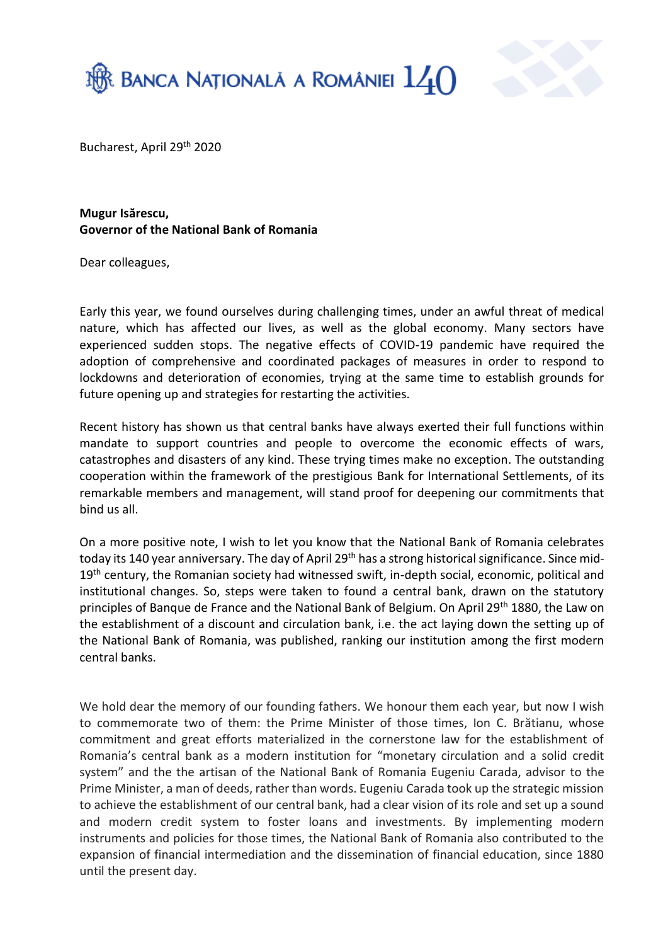



Bucharest, April 29<sup>th</sup> 2020

**Mugur Isărescu, Governor of the National Bank of Romania**

Dear colleagues,

Early this year, we found ourselves during challenging times, under an awful threat of medical nature, which has affected our lives, as well as the global economy. Many sectors have experienced sudden stops. The negative effects of COVID-19 pandemic have required the adoption of comprehensive and coordinated packages of measures in order to respond to lockdowns and deterioration of economies, trying at the same time to establish grounds for future opening up and strategies for restarting the activities.

Recent history has shown us that central banks have always exerted their full functions within mandate to support countries and people to overcome the economic effects of wars, catastrophes and disasters of any kind. These trying times make no exception. The outstanding cooperation within the framework of the prestigious Bank for International Settlements, of its remarkable members and management, will stand proof for deepening our commitments that bind us all.

On a more positive note, I wish to let you know that the National Bank of Romania celebrates today its 140 year anniversary. The day of April 29<sup>th</sup> has a strong historical significance. Since mid-19<sup>th</sup> century, the Romanian society had witnessed swift, in-depth social, economic, political and institutional changes. So, steps were taken to found a central bank, drawn on the statutory principles of Banque de France and the National Bank of Belgium. On April 29<sup>th</sup> 1880, the Law on the establishment of a discount and circulation bank, i.e. the act laying down the setting up of the National Bank of Romania, was published, ranking our institution among the first modern central banks.

We hold dear the memory of our founding fathers. We honour them each year, but now I wish to commemorate two of them: the Prime Minister of those times, Ion C. Brătianu, whose commitment and great efforts materialized in the cornerstone law for the establishment of Romania's central bank as a modern institution for "monetary circulation and a solid credit system" and the the artisan of the National Bank of Romania Eugeniu Carada, advisor to the Prime Minister, a man of deeds, rather than words. Eugeniu Carada took up the strategic mission to achieve the establishment of our central bank, had a clear vision of its role and set up a sound and modern credit system to foster loans and investments. By implementing modern instruments and policies for those times, the National Bank of Romania also contributed to the expansion of financial intermediation and the dissemination of financial education, since 1880 until the present day.